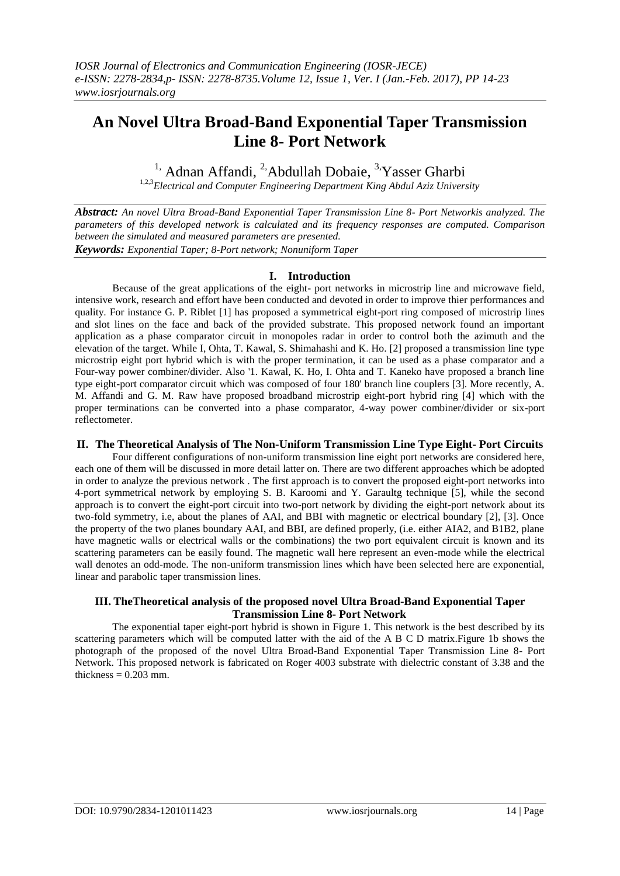# **An Novel Ultra Broad-Band Exponential Taper Transmission Line 8- Port Network**

<sup>1,</sup> Adnan Affandi, <sup>2</sup>,Abdullah Dobaie, <sup>3,</sup>Yasser Gharbi

1,2,3*Electrical and Computer Engineering Department King Abdul Aziz University*

*Abstract: An novel Ultra Broad-Band Exponential Taper Transmission Line 8- Port Networkis analyzed. The parameters of this developed network is calculated and its frequency responses are computed. Comparison between the simulated and measured parameters are presented. Keywords: Exponential Taper; 8-Port network; Nonuniform Taper*

## **I. Introduction**

Because of the great applications of the eight- port networks in microstrip line and microwave field, intensive work, research and effort have been conducted and devoted in order to improve thier performances and quality. For instance G. P. Riblet [1] has proposed a symmetrical eight-port ring composed of microstrip lines and slot lines on the face and back of the provided substrate. This proposed network found an important application as a phase comparator circuit in monopoles radar in order to control both the azimuth and the elevation of the target. While I, Ohta, T. Kawal, S. Shimahashi and K. Ho. [2] proposed a transmission line type microstrip eight port hybrid which is with the proper termination, it can be used as a phase comparator and a Four-way power combiner/divider. Also '1. Kawal, K. Ho, I. Ohta and T. Kaneko have proposed a branch line type eight-port comparator circuit which was composed of four 180' branch line couplers [3]. More recently, A. M. Affandi and G. M. Raw have proposed broadband microstrip eight-port hybrid ring [4] which with the proper terminations can be converted into a phase comparator, 4-way power combiner/divider or six-port reflectometer.

## **II. The Theoretical Analysis of The Non-Uniform Transmission Line Type Eight- Port Circuits**

Four different configurations of non-uniform transmission line eight port networks are considered here, each one of them will be discussed in more detail latter on. There are two different approaches which be adopted in order to analyze the previous network . The first approach is to convert the proposed eight-port networks into 4-port symmetrical network by employing S. B. Karoomi and Y. Garaultg technique [5], while the second approach is to convert the eight-port circuit into two-port network by dividing the eight-port network about its two-fold symmetry, i.e, about the planes of AAI, and BBI with magnetic or electrical boundary [2], [3]. Once the property of the two planes boundary AAI, and BBI, are defined properly, (i.e. either AIA2, and B1B2, plane have magnetic walls or electrical walls or the combinations) the two port equivalent circuit is known and its scattering parameters can be easily found. The magnetic wall here represent an even-mode while the electrical wall denotes an odd-mode. The non-uniform transmission lines which have been selected here are exponential, linear and parabolic taper transmission lines.

### **III. TheTheoretical analysis of the proposed novel Ultra Broad-Band Exponential Taper Transmission Line 8- Port Network**

The exponential taper eight-port hybrid is shown in Figure 1. This network is the best described by its scattering parameters which will be computed latter with the aid of the A B C D matrix.Figure 1b shows the photograph of the proposed of the novel Ultra Broad-Band Exponential Taper Transmission Line 8- Port Network. This proposed network is fabricated on Roger 4003 substrate with dielectric constant of 3.38 and the thickness  $= 0.203$  mm.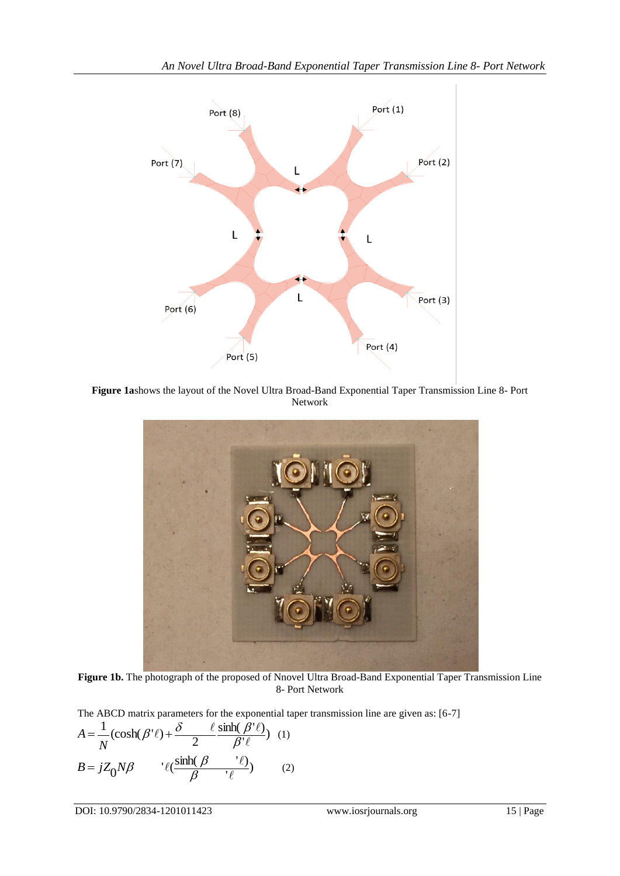

**Figure 1a**shows the layout of the Novel Ultra Broad-Band Exponential Taper Transmission Line 8- Port Network



**Figure 1b.** The photograph of the proposed of Nnovel Ultra Broad-Band Exponential Taper Transmission Line 8- Port Network

The ABCD matrix parameters for the exponential taper transmission line are given as: [6-7]  $\frac{\rho\ \epsilon\ j}{\ell}$  $\sinh(\beta' \ell)$  $\frac{1}{N}$ (cosh( $\beta'$ ) +  $\frac{\delta}{2}$  $\ell$  $\ell$ ) +  $\frac{\delta}{2}$   $\frac{\ell}{\beta}$  sinh( $\beta'$   $\ell$  $=\frac{1}{2}(\cosh(\beta'\ell)+\frac{\delta-\ell}{2}\frac{\sinh(\beta\ell)}{\delta\ell\ell})$ *N*  $A = \frac{1}{2} (\cosh(\beta' \ell) + \frac{\delta}{\beta} \frac{\sinh(\beta' \ell)}{\delta \ell})$  (1)  $\frac{\epsilon}{\ell}$  $\mathcal{S}_0 N \beta$   $\qquad \qquad \ell(\frac{\sinh(\beta-\frac{\epsilon}{\ell})}{\beta})$  $\ell(\frac{\sinh(\beta) \qquad \ell}{\beta})$  $B = jZ_0 N\beta$   $\qquad \ell(\frac{\sinh(\beta)}{2} - \ell)$  (2)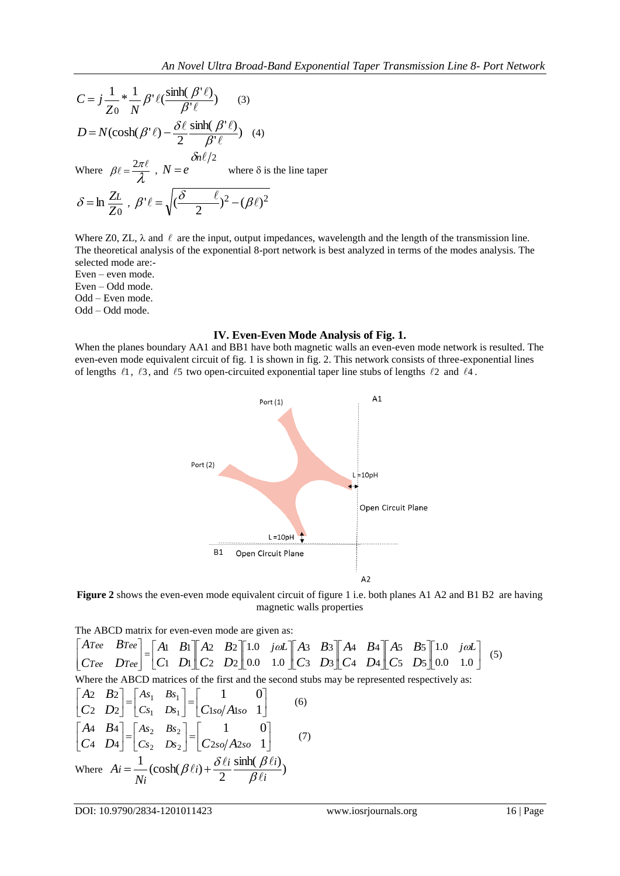$$
C = j \frac{1}{Z_0} * \frac{1}{N} \beta' \ell \left( \frac{\sinh(\beta' \ell)}{\beta' \ell} \right) \qquad (3)
$$
  

$$
D = N(\cosh(\beta' \ell) - \frac{\delta \ell}{2} \frac{\sinh(\beta' \ell)}{\beta' \ell}) \quad (4)
$$
  
Where  $\beta \ell = \frac{2\pi \ell}{\lambda}$ ,  $N = e \qquad \text{where } \delta \text{ is the line tape}$ 

$$
\delta = \ln \frac{Z_L}{Z_0} , \ \beta' \ell = \sqrt{(\frac{\delta}{2} - \ell)^2 - (\beta \ell)^2}
$$

Where Z0, ZL,  $\lambda$  and  $\ell$  are the input, output impedances, wavelength and the length of the transmission line. The theoretical analysis of the exponential 8-port network is best analyzed in terms of the modes analysis. The selected mode are:-

Even – even mode. Even – Odd mode. Odd – Even mode.

Odd – Odd mode.

### **IV. Even-Even Mode Analysis of Fig. 1.**

When the planes boundary AA1 and BB1 have both magnetic walls an even-even mode network is resulted. The even-even mode equivalent circuit of fig. 1 is shown in fig. 2. This network consists of three-exponential lines of lengths  $\ell_1$ ,  $\ell_3$ , and  $\ell_5$  two open-circuited exponential taper line stubs of lengths  $\ell_2$  and  $\ell_4$ .





The ABCD matrix for even-even mode are given as:

$$
\begin{bmatrix}\nATee & BTee \\
CTee & DTee\n\end{bmatrix} = \begin{bmatrix}\nA1 & B1 \\
C1 & D1\n\end{bmatrix}\n\begin{bmatrix}\nA2 & B2 \\
C2 & D2\n\end{bmatrix}\n\begin{bmatrix}\n1.0 & j\omega L \\
0.0 & 1.0\n\end{bmatrix}\n\begin{bmatrix}\nA3 & B3 \\
C3 & D3\n\end{bmatrix}\n\begin{bmatrix}\nA4 & B4 \\
A & D4\n\end{bmatrix}\n\begin{bmatrix}\nA5 & B5 \\
C5 & D5\n\end{bmatrix}\n\begin{bmatrix}\n1.0 & j\omega L \\
0.0 & 1.0\n\end{bmatrix}
$$
\n(5)  
\nWhere the ABCD matrices of the first and the second stubs may be represented respectively as:  
\n
$$
\begin{bmatrix}\nA2 & B2 \\
C2 & D2\n\end{bmatrix} = \begin{bmatrix}\nAs_1 & Bs_1 \\
Cs_1 & Ds_1\n\end{bmatrix} = \begin{bmatrix}\n1 & 0 \\
C1so/Also & 1\n\end{bmatrix}
$$
\n(6)  
\n
$$
\begin{bmatrix}\nA4 & B4 \\
C4 & D4\n\end{bmatrix} = \begin{bmatrix}\nAs_2 & Bs_2 \\
Cs_2 & Ds_2\n\end{bmatrix} = \begin{bmatrix}\n1 & 0 \\
C2so/A2so & 1\n\end{bmatrix}
$$
\n(7)  
\nWhere  $Ai = \frac{1}{Ni} (\cosh(\beta \ell i) + \frac{\delta \ell i}{2} \frac{\sinh(\beta \ell i)}{\beta \ell i})$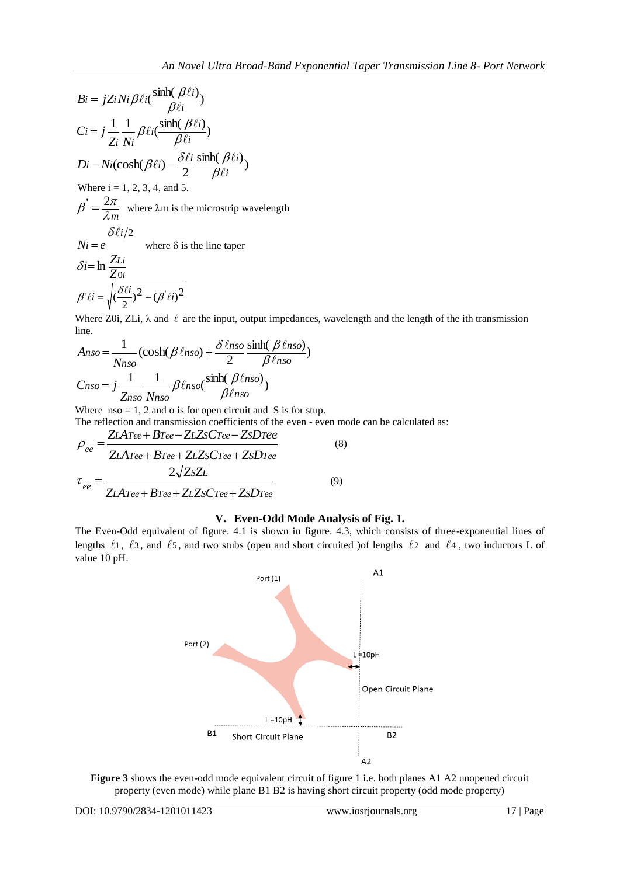$$
Bi = jZi Ni \beta \ell i \left( \frac{\sinh(\beta \ell i)}{\beta \ell i} \right)
$$
  
\n
$$
Ci = j \frac{1}{Zi} \frac{1}{Ni} \beta \ell i \left( \frac{\sinh(\beta \ell i)}{\beta \ell i} \right)
$$
  
\n
$$
Di = Ni(\cosh(\beta \ell i) - \frac{\delta \ell i}{2} \frac{\sinh(\beta \ell i)}{\beta \ell i})
$$
  
\nWhere i = 1, 2, 3, 4, and 5.  
\n
$$
\beta' = \frac{2\pi}{\lambda m}
$$
 where  $\lambda$ m is the microstrip wavelength  
\n
$$
\delta \ell i/2
$$
  
\n
$$
Ni = e
$$
 where  $\delta$  is the line tape  
\n
$$
\delta i = \ln \frac{ZLi}{Zoi}
$$
  
\n
$$
\beta' \ell i = \sqrt{(\frac{\delta \ell i}{2})^2 - (\beta' \ell i)^2}
$$

Where Z0i, ZLi,  $\lambda$  and  $\ell$  are the input, output impedances, wavelength and the length of the ith transmission line.

$$
Anso = \frac{1}{N_{hso}} (\cosh(\beta \ell_{hso}) + \frac{\delta \ell_{hso}}{2} \frac{\sinh(\beta \ell_{hso})}{\beta \ell_{hso}})
$$

$$
C_{hso} = j \frac{1}{Z_{hso}} \frac{1}{N_{hso}} \beta \ell_{hso} (\frac{\sinh(\beta \ell_{hso})}{\beta \ell_{hso}})
$$

Where  $\text{nso} = 1, 2$  and o is for open circuit and S is for stup. The reflection and transmission coefficients of the even - even mode can be calculated as:

$$
\rho_{ee} = \frac{ZLArea + BTee - ZLZsCree - ZsDree}{ZLArea + BTee + ZLZsCree + ZsDTee}
$$
\n
$$
\tau_{ee} = \frac{2\sqrt{ZsZL}}{ZLArea + BTee + ZLZsCree + ZsDTee}
$$
\n(9)

## **V. Even-Odd Mode Analysis of Fig. 1.**

The Even-Odd equivalent of figure. 4.1 is shown in figure. 4.3, which consists of three-exponential lines of lengths  $\ell_1$ ,  $\ell_3$ , and  $\ell_5$ , and two stubs (open and short circuited ) of lengths  $\ell_2$  and  $\ell_4$ , two inductors L of value 10 pH.



**Figure 3** shows the even-odd mode equivalent circuit of figure 1 i.e. both planes A1 A2 unopened circuit property (even mode) while plane B1 B2 is having short circuit property (odd mode property)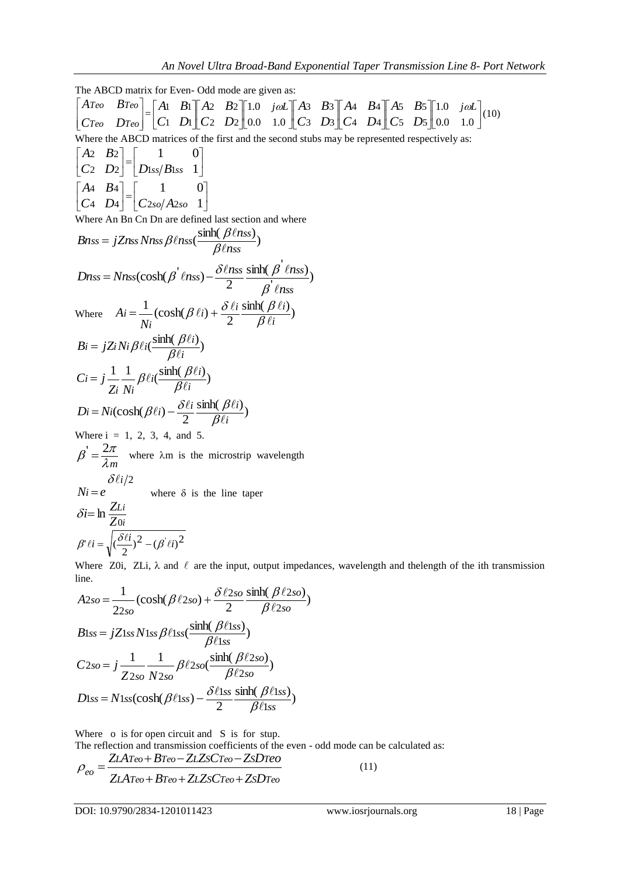The ABCD matrix for Even- Odd mode are given as:  $\overline{\phantom{a}}$  $\overline{\phantom{a}}$  $\overline{\phantom{a}}$  $\overline{\phantom{a}}$ L  $\mathbf{r}$  $\overline{\mathsf{L}}$  $\begin{vmatrix} \nATeo & B\n\end{vmatrix}$ *Teo Teo Teo Teo*  $C$ *Teo*  $D$ *Teo*  $\begin{bmatrix} =\begin{bmatrix} 1 & 2 & 3 \\ 2 & 1 & 2 \end{bmatrix}$   $\begin{bmatrix} 1 & 2 & 2 \\ 1 & 2 & 2 \end{bmatrix}$   $\begin{bmatrix} 1 & 0 & 0 \\ 0 & 0 & 1 \end{bmatrix}$   $\begin{bmatrix} 1 & 0 & 0 \\ 0 & 0 & 1 \end{bmatrix}$   $\begin{bmatrix} 1 & 0 & 0 \\ 0 & 0 & 1 \end{bmatrix}$   $\begin{bmatrix} 1 & 0 & 0 \\ 0 & 0 & 1 \end{bmatrix}$  $\cdot$  $\overline{\mathsf{L}}$ I  $\overline{\phantom{a}}$  $\overline{\phantom{a}}$  $\overline{\phantom{a}}$  $\overline{\phantom{a}}$ L I  $\overline{\phantom{a}}$  $\overline{\phantom{a}}$  $\overline{\phantom{a}}$  $\mathsf{I}$  $\lfloor$ L J  $\overline{\phantom{a}}$  $\overline{\phantom{a}}$  $\mathsf{I}$  $\lfloor$ L  $\cdot$  $\overline{\mathsf{L}}$ |  $\overline{\phantom{a}}$  $\overline{\phantom{a}}$  $\overline{\phantom{a}}$  $\parallel$  $\lfloor$  $\mathbf{r}$  $\overline{\phantom{a}}$  $\frac{1}{2}$  $\overline{\phantom{a}}$  $\mathbf{r}$  $\overline{\mathsf{L}}$  $\mathbf{r}$ 0.0 1.0 1.0 0.0 1.0 1.0 5 D<sub>5</sub> 5 5 4 D<sub>4</sub> 4 **B**4 3  $D_3$ 3 B<sub>3</sub> 2  $D_2$ 2  $B<sub>2</sub>$  $1 \; D1$ 1  $B_1 \| A_2 B_2 \| 1.0$  joil  $A_3 B_3 \| A_4 B_4 \| A_5 B_5 \| 1.0$  joil *C D A B C D A B C D A B C D A B C D A* **B**  $\begin{bmatrix} A_2 & B_2 \end{bmatrix}$  *L*  $\begin{bmatrix} 1.0 & j\omega L \end{bmatrix}$  *A* **B**  $\begin{bmatrix} A_3 & B_3 \end{bmatrix}$  *A A* $\begin{bmatrix} A_2 & B_3 \end{bmatrix}$ *A* $\begin{bmatrix} A_2 & B_3 \end{bmatrix}$ *A* $\begin{bmatrix} 1.0 & j\omega L \end{bmatrix}$ *(10)* Where the ABCD matrices of the first and the second stubs may be represented respectively as: J  $\frac{1}{2}$  $\overline{\phantom{a}}$  $\mathbf{r}$  $\lfloor$  $\begin{matrix} \boxed{1} \\ \boxed{1} \end{matrix}$  $\overline{\phantom{a}}$  $\overline{\phantom{a}}$  $\mathbf{r}$  $\lfloor$  $\mathbf{r}$ 1 1 0 2  $D2$  |  $D1ss/B1$ 2  $B<sub>2</sub>$  $|C_2 \ D_2|$   $|D_{1ss}/B_{1ss}|$ *A B*  $\overline{\phantom{a}}$  $\frac{1}{2}$  $\overline{\phantom{a}}$ I L  $\begin{matrix} \end{matrix}$  $\frac{1}{2}$  $\overline{\phantom{a}}$  $\mathbf{r}$  $\overline{\mathsf{L}}$  $\mathbf{r}$ 1 1 0 4  $D_4 | C_{2so}/A_2$ 4 **B**4  $C_4$   $D_4$   $C_{2so}/A_{2so}$ *A B* Where An Bn Cn Dn are defined last section and where  $(\frac{\sinh(\beta \ell n s s)}{\beta \ell n s s})$  $s s = j Z n s s N n s s \beta \ell n s s \left( \frac{\sinh(\beta \ell n s s)}{\beta \ell n s s} \right)$  $B$ nss =  $jZ$ nss Nnss  $\beta$  lnss $(\frac{\sinh(\beta \ell n)}{\alpha \ell})$  $\ell$  $\ell$ nss $(\frac{\sinh(\ { \beta}\ell}{\beta \ell n s}$ = jZnssNnss $\beta$ lnss $(\frac{\sinh(\beta)}{2})$  $\frac{p \cos\theta}{p}$  $\sinh(\beta \ln ss)$  $(\cosh(\beta \ln s) - \frac{\partial \ln s}{2})$ *ss*  $s s = N n s s (cosh(\beta' \ln s s) - \frac{\delta \ln s s}{2} \frac{\sinh(\beta' \ln s s)}{2}$ *n*  $D$ nss =  $N$ nss(cosh( $\beta'$   $\ell$ nss) -  $\frac{\delta \ell$ nss  $\frac{\sinh(\beta \ell n)}{\delta}}{N}$  $\ell$  $\ell$ nss) –  $\frac{\delta \ell$ nss sinh $(\beta \ell)$  $\beta$  $=Nns(\cosh(\beta \ln ss)-\frac{\delta \ln ss}{2}\frac{\sinh(\beta \ln ts)}{2})$ Where  $Ai = \frac{1}{2} (\cosh(\beta \ell i) + \frac{\delta \ell i}{2} \frac{\sinh(\beta \ell i)}{\rho \ell i})$ 2  $\frac{1}{2}$  (cosh( $\beta$   $\ell$ *i*) *i*  $i) + \frac{\delta \ell i}{2} \frac{\sinh(\beta \ell i)}{\beta \ell i}$ *i i N A*  $\ell$  $\ell_{i}$  +  $\frac{\delta \ell_{i}}{2}$  sinh( $\beta \ell$  $_{\beta}$  $=\frac{1}{\epsilon}(\cosh(\beta \ell i)+\frac{\delta \ell i}{2}\frac{\sinh(\beta \ell i)}{\rho \ell i})$  $\frac{\sinh(\beta \ell i)}{\beta \ell i}$  $B_i = jZ_i N_i \beta \ell_i \left( \frac{\sinh(\beta \ell_i)}{\beta \ell_i} \right)$  $\ell i ( \frac{\sinh(\beta \ell)}{\beta \ell i} )$  $= jZ_i Ni\beta \ell i(\frac{\sinh(\beta)}{\beta \ell})$  $\frac{1}{\epsilon} - \frac{1}{\beta} \beta \ell i(\frac{\sinh(\beta \ell i)}{\beta \ell})$ *i*  $i \left( \frac{\sinh(\beta \ell i)}{\delta \ell} \right)$ *i i i Z N*  $Ci = j$  $\ell$  $\ell i(\frac{\text{sinh}(\beta\ell)}{\beta\ell i}$  $= j \frac{1}{\epsilon} \frac{1}{\epsilon} \beta \ell i \left( \frac{\sinh(\beta)}{\beta \ell} \right)$  $\frac{\sinh(\beta \ell i)}{\beta \ell i}$  $(\cosh(\beta \ell i) - \frac{\partial \ell i}{2} \frac{\sinh(\beta \ell)}{\beta \ell i})$  $Di = Ni(\cosh(\beta \ell i) - \frac{\delta \ell i}{2} \frac{\sinh(\beta \ell i)}{\beta \ell i})$  $\ell(i) - \frac{\delta \ell i}{2} \frac{\sinh(\beta \ell)}{\beta \ell i}$  $= Ni(\cosh(\beta \ell i) - \frac{\delta \ell i}{2} \frac{\sinh(\beta \ell)}{\beta \ell i})$ Where  $i = 1, 2, 3, 4, and 5$ . *m*  $\beta' = \frac{2\pi}{1}$  where  $\lambda$ m is the microstrip wavelength *i* /2  $Ni = e$  $\delta \ell$ where  $\delta$  is the line taper *i Li Z*  $\delta i = \ln \frac{Z_L}{Z_0}$  $\beta' \ell i = \sqrt{(\frac{\delta \ell i}{2})^2 - (\beta' \ell i)^2}$ 

Where Z0i, ZLi,  $\lambda$  and  $\ell$  are the input, output impedances, wavelength and thelength of the ith transmission line.

$$
A2so = \frac{1}{22so} \left(\cosh(\beta \ell 2so) + \frac{\delta \ell 2so}{2} \frac{\sinh(\beta \ell 2so)}{\beta \ell 2so}\right)
$$
  
\n
$$
B1ss = jZ1ss N1ss \beta \ell 1ss \frac{\sinh(\beta \ell 1ss)}{\beta \ell 1ss}
$$
  
\n
$$
C2so = j \frac{1}{Z2so} \frac{1}{N2so} \beta \ell 2so \frac{\sinh(\beta \ell 2so)}{\beta \ell 2so}
$$
  
\n
$$
D1ss = N1ss(\cosh(\beta \ell 1ss) - \frac{\delta \ell 1ss}{2} \frac{\sinh(\beta \ell 1ss)}{\beta \ell 1ss})
$$

Where o is for open circuit and S is for stup.

The reflection and transmission coefficients of the even - odd mode can be calculated as: *L Teo Teo L S Teo S Teo eo Z A B Z Z C Z D*  $\rho_{\rm oo} = \frac{\text{ZL} \text{A} \text{Teo} + \text{B} \text{Teo} - \text{ZL} \text{Zs} \text{C} \text{Teo} - \text{Zs} \text{D} \text{Teo}}{11}$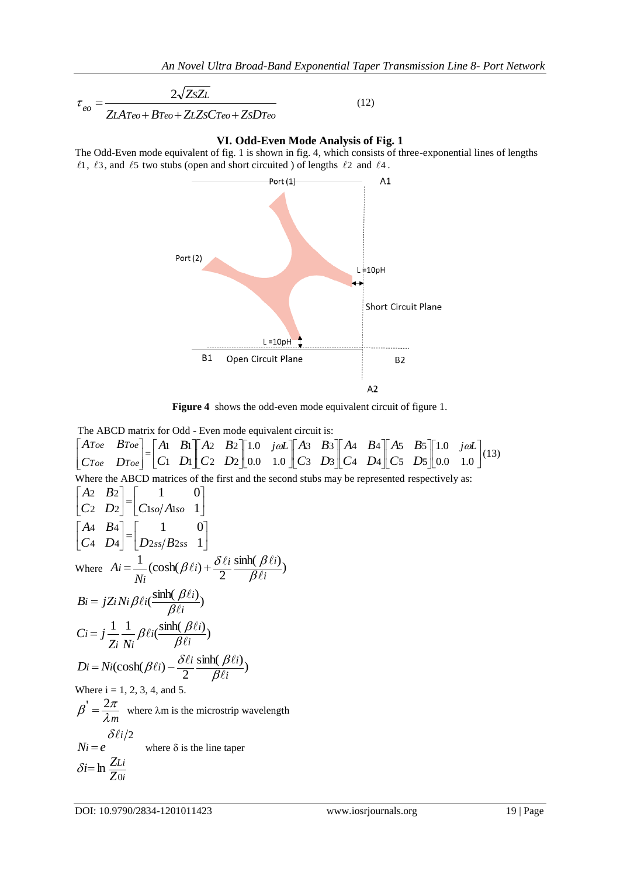$$
\tau_{eo} = \frac{2\sqrt{ZsZL}}{ZLA\tau_{eo} + B\tau_{eo} + ZLZsC\tau_{eo} + ZsD\tau_{eo}}
$$
(12)

**VI. Odd-Even Mode Analysis of Fig. 1**

The Odd-Even mode equivalent of fig. 1 is shown in fig. 4, which consists of three-exponential lines of lengths  $\ell$ 1,  $\ell$ 3, and  $\ell$ 5 two stubs (open and short circuited) of lengths  $\ell$ 2 and  $\ell$ 4.



**Figure 4** shows the odd-even mode equivalent circuit of figure 1.

The ABCD matrix for Odd - Even mode equivalent circuit is:

 $\overline{\phantom{a}}$  $\overline{\phantom{a}}$  $\overline{\phantom{a}}$  $\overline{\phantom{a}}$ L  $\mathbf{r}$ L  $\mathbf{r}$ *Toe Toe Toe Toe C D A B*  $\begin{bmatrix} -1 & 2 & 1 & 2 \\ C_1 & D_1 & C_2 & D_2 \end{bmatrix}$  0.0 1.0  $\begin{bmatrix} 1 & 2 & 2 & 3 \\ C_3 & D_3 & C_4 & D_4 \end{bmatrix}$   $\begin{bmatrix} 1 & 2 & 3 & 3 \\ C_4 & D_5 & D_5 \end{bmatrix}$  0.0 1.0  $\cdot$  $\overline{\mathsf{L}}$ L  $\overline{\phantom{a}}$  $\overline{\phantom{a}}$  $\overline{\phantom{a}}$  $\overline{\phantom{a}}$  $\lfloor$ L  $\overline{\phantom{a}}$  $\overline{\phantom{a}}$  $\overline{\phantom{a}}$ L  $\overline{\mathsf{L}}$  $\mathsf{I}$  $\overline{\phantom{a}}$  $\overline{\phantom{a}}$  $\overline{\phantom{a}}$ L  $\overline{\mathsf{L}}$  $\mathsf{I}$   $\cdot$  $\overline{\mathsf{L}}$ L  $\overline{\phantom{a}}$  $\overline{\phantom{a}}$  $\overline{\phantom{a}}$  $\parallel$ L  $\mathsf{I}$  $\overline{\phantom{a}}$  $\frac{1}{2}$  $\overline{\phantom{a}}$  $\mathbf{r}$  $\overline{\mathsf{L}}$  $\mathbf{r}$ 0.0 1.0 1.0 0.0 1.0 1.0 5 D<sub>5</sub> 5 5 4 D<sub>4</sub> 4 **B**4 3 D<sub>3</sub> 3 3 2  $D_2$ 2 B<sub>2</sub>  $1 D_1$ 1  $B_1 \| A_2 B_2 \| 1.0$   $j\omega L \| A_3 B_3 \| A_4 B_4 \| A_5 B_5 \| 1.0$   $j\omega L$ *C D A B C D A B C D A B C D A B C D A* **B**  $\begin{bmatrix} A_2 & B_2 \end{bmatrix}$  *L*  $\begin{bmatrix} 1.0 & j \omega L \end{bmatrix}$  *A B*  $\begin{bmatrix} A_3 & B_3 \end{bmatrix}$  *A A*  $\begin{bmatrix} A_2 & B_3 \end{bmatrix}$  *A*  $\begin{bmatrix} A_2 & B_3 \end{bmatrix}$  *A*  $\begin{bmatrix} 1.0 & j \omega L \end{bmatrix}$  (13) Where the ABCD matrices of the first and the second stubs may be represented respectively as: J  $\rfloor$ I  $\mathbf{r}$  $\overline{\mathsf{L}}$   $\overline{\phantom{a}}$  $\overline{\phantom{a}}$  $\mathbf{r}$  $\overline{\mathsf{L}}$  $\mathbf{r}$ 1 1 0 2  $D2 | C1s0/Al$ 2  $B<sub>2</sub>$  $C_2$   $D_2$   $C_{1so}/A_{1so}$ *A B* J  $\rfloor$ I  $\mathbf{r}$  $\overline{\mathsf{L}}$  $\begin{matrix} \end{matrix}$  $\overline{\phantom{a}}$  $\overline{\phantom{a}}$  $\mathbf{r}$  $\overline{\mathsf{L}}$  $\mathbf{r}$ 1 1 0 4  $D_4 | D_{2ss}/B_2$ 4 **B**4  $\begin{bmatrix} C4 & D4 \end{bmatrix}$   $\begin{bmatrix} D2ss \end{bmatrix}$  *D A B* Where  $Ai = \frac{1}{\cosh(\beta \ell i) + \frac{\delta \ell i}{2} \frac{\sinh(\beta \ell i)}{\beta \ell}})$  $\frac{1}{v_i}$  (cosh( $\beta \ell i$ ) +  $\frac{\delta \ell}{2}$ *i*  $i) + \frac{\delta \ell i}{2} \frac{\sinh(\beta \ell i)}{\beta \ell i}$ *i i N A*  $\ell$  $\ell i$ ) +  $\frac{\delta \ell i}{2} \frac{\sinh(\beta \ell)}{\beta \ell i}$  $=\frac{1}{2}(\cosh(\beta \ell i)+\frac{\delta \ell i}{2}\frac{\sinh(\beta \ell i)}{\delta \ell i})$  $\frac{\sinh(\beta \ell i)}{\beta \ell i}$  $B_i = jZ_i N_i \beta \ell_i \left( \frac{\sinh(\beta \ell_i)}{\beta \ell_i} \right)$  $\ell i(\frac{\text{sinh}(\beta\ell)}{\beta\ell i})$  $= jZ_i Ni \beta \ell i(\frac{\sinh(\beta)}{\beta \ell})$  $\frac{1}{\pi} \frac{1}{\beta \ell i} \frac{\sinh(\beta \ell i)}{\beta \ell i}$ *i*  $i \left( \frac{\sinh(\beta \ell i)}{\delta \ell \right)$ *i i i Z N*  $Ci = j$  $\ell$  $\ell i(\frac{\text{sinh}(\beta\ell)}{\beta\ell i}$  $= j \frac{1}{\rho} \frac{1}{\beta} \beta \ell i \left( \frac{\sinh(\beta)}{\beta \ell} \right)$  $\frac{\sinh(\beta \ell i)}{\beta \ell i}$  $(\cosh(\beta \ell i) - \frac{\partial \ell i}{2} \frac{\sinh(\beta \ell)}{\beta \ell i})$  $Di = Ni(\cosh(\beta \ell_i) - \frac{\delta \ell_i}{2} \frac{\sinh(\beta \ell_i)}{\beta \ell_i})$  $\ell(i) - \frac{\delta \ell i}{2} \frac{\sinh(\beta \ell)}{\beta \ell i}$  $=Ni(\cosh(\beta \ell i)-\frac{\delta \ell i}{2}\frac{\sinh(\beta \ell)}{\beta \ell i})$ Where  $i = 1, 2, 3, 4$ , and 5. *m*  $\beta' = \frac{2\pi}{1}$  where  $\lambda$ m is the microstrip wavelength *i* /2  $Ni = e$  $\delta \ell$ where  $\delta$  is the line taper *i Li Z*  $\delta i = \ln \frac{Z_L}{Z_0}$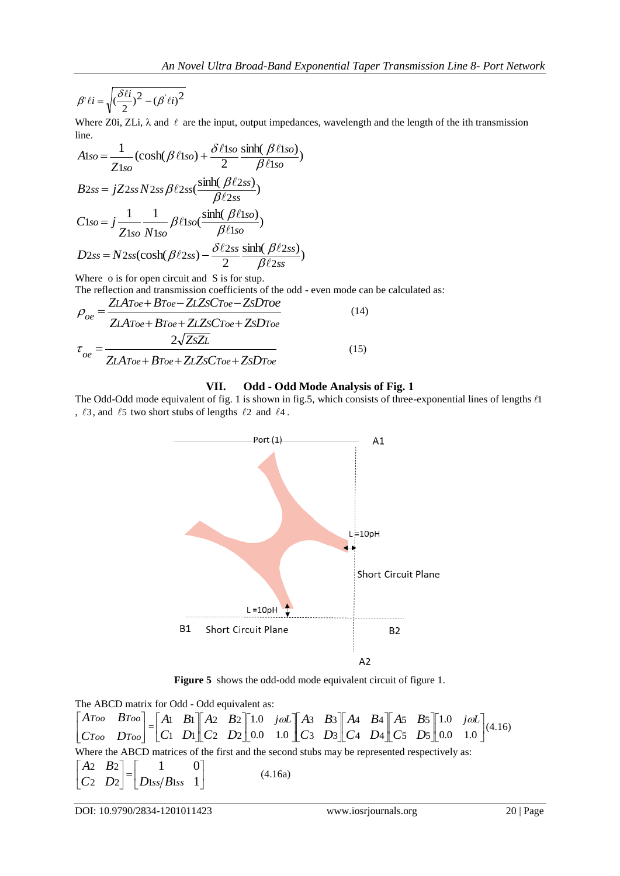$$
\beta' \ell i = \sqrt{\left(\frac{\delta \ell i}{2}\right)^2 - \left(\beta' \ell i\right)^2}
$$

Where Z0i, ZLi,  $\lambda$  and  $\ell$  are the input, output impedances, wavelength and the length of the ith transmission line.

$$
A1so = \frac{1}{Z1so} \left(\cosh(\beta \ell 1so) + \frac{\delta \ell 1so \sinh(\beta \ell 1so)}{\beta \ell 1so}\right)
$$
  
\n
$$
B2ss = jZ2ss N2ss \beta \ell 2ss \frac{\sinh(\beta \ell 2ss)}{\beta \ell 2ss}
$$
  
\n
$$
C1so = j \frac{1}{Z1so} \frac{1}{N1so} \beta \ell 1so \frac{\sinh(\beta \ell 1so)}{\beta \ell 1so}
$$
  
\n
$$
D2ss = N2ss(\cosh(\beta \ell 2ss) - \frac{\delta \ell 2ss}{2} \frac{\sinh(\beta \ell 2ss)}{\beta \ell 2ss})
$$

Where o is for open circuit and S is for stup.

The reflection and transmission coefficients of the odd - even mode can be calculated as:

$$
\rho_{oe} = \frac{ZLAToe + BToe - ZLZsCroe - ZsDToe}{ZLAToe + BToe + ZLZsCroe + ZsDroe}
$$
\n
$$
\tau_{oe} = \frac{2\sqrt{ZsZL}}{ZLAToe + BToe + ZLZsCroe + ZsDroe}
$$
\n(15)

#### **VII. Odd - Odd Mode Analysis of Fig. 1**

The Odd-Odd mode equivalent of fig. 1 is shown in fig.5, which consists of three-exponential lines of lengths  $\ell$ 1 ,  $\ell$ 3, and  $\ell$ 5 two short stubs of lengths  $\ell$ 2 and  $\ell$ 4.



**Figure 5** shows the odd-odd mode equivalent circuit of figure 1.

The ABCD matrix for Odd - Odd equivalent as:

 $\overline{\phantom{a}}$  $\overline{\phantom{a}}$  $\overline{\phantom{a}}$  $\overline{\phantom{a}}$ L  $\mathbb{I}$ L  $\mathbf{r}$ *Too Too Too Too C D A B*  $=\begin{bmatrix} 1 & 2 & 1 & 2 \\ C_1 & D_1 & C_2 & D_2 \end{bmatrix}$  0.0 1.0  $\begin{bmatrix} 1 & 2 & 2 & 1 \\ C_3 & D_3 & C_4 & D_4 \end{bmatrix}$   $\begin{bmatrix} 1 & 2 & 2 & 1 \\ C_5 & D_5 & D_5 \end{bmatrix}$  0.0 1.0  $\cdot$  $\overline{\phantom{a}}$  $\mathsf{I}$  $\overline{\phantom{a}}$  $\overline{\phantom{a}}$  $\overline{\phantom{a}}$  $\mathsf{I}$ L L  $\overline{\phantom{a}}$  $\overline{\phantom{a}}$  $\overline{\phantom{a}}$  $\mathsf{I}$ L  $\mathsf{I}$  $\overline{\phantom{a}}$  $\overline{\phantom{a}}$  $\overline{\phantom{a}}$  $\mathsf{I}$ L  $\mathsf{I}$   $\cdot$  $\overline{\mathsf{L}}$  $\mathsf{I}$  $\overline{\phantom{a}}$  $\overline{\phantom{a}}$  $\overline{\phantom{a}}$  $\parallel$ L  $\mathsf{I}$  $\overline{\phantom{a}}$  $\overline{\phantom{a}}$  $\overline{\phantom{a}}$  $\mathbf{r}$ L  $\mathbf{r}$ 0.0 1.0 1.0 0.0 1.0 1.0 5 5 5 5 4 D<sub>4</sub> 4 B<sub>4</sub> 3 D<sub>3</sub> 3 3 2  $D_2$ 2 B<sub>2</sub>  $1 D_1$ 1  $B_1 \| A_2 B_2 \| 1.0$   $j\omega L \| A_3 B_3 \| A_4 B_4 \| A_5 B_5 \| 1.0$   $j\omega L$ *C D A B C D A B C D A B C D A B C D A* **B**  $\begin{bmatrix} A2 & B2 \end{bmatrix}$  **1.0** *jol*  $\begin{bmatrix} A3 & B3 \end{bmatrix}$  *A* **B**  $\begin{bmatrix} A5 & B5 \end{bmatrix}$  **1.0** *jol*  $\begin{bmatrix} A16 \end{bmatrix}$ Where the ABCD matrices of the first and the second stubs may be represented respectively as:  $\overline{\phantom{a}}$  $\frac{1}{2}$  1 0  $\mathbf{r}$  $\begin{bmatrix} C_2 & D_2 \end{bmatrix}$   $\begin{bmatrix} D_{1ss}/B_{1ss} & 1 \end{bmatrix}$  $\mathbf{r}$  $\vert$ =  $\overline{\phantom{a}}$  $\begin{bmatrix} A_2 & B_2 \end{bmatrix}$  $\mathbf{r}$ L (4.16a)

DOI: 10.9790/2834-1201011423 www.iosrjournals.org 20 | Page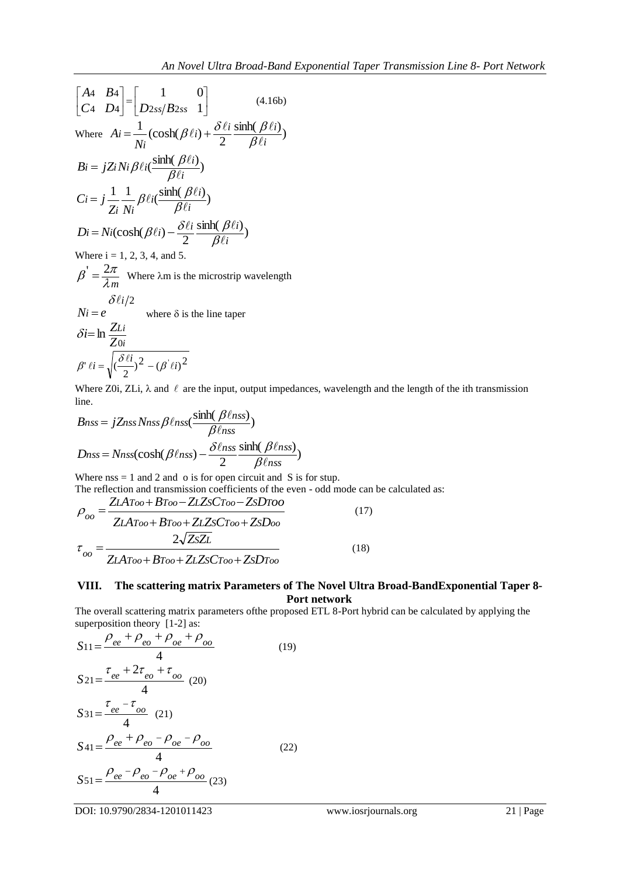$$
\begin{bmatrix}\nA4 & B4 \\
C4 & D4\n\end{bmatrix} =\n\begin{bmatrix}\n1 & 0 \\
D_{2ss}/B_{2ss} & 1\n\end{bmatrix}
$$
\n(4.16b)  
\nWhere  $Ai = \frac{1}{Ni} (\cosh(\beta \ell i) + \frac{\delta \ell i}{2} \frac{\sinh(\beta \ell i)}{\beta \ell i})$   
\n $Bi = j\mathbb{Z}i Ni \beta \ell i (\frac{\sinh(\beta \ell i)}{\beta \ell i})$   
\n $Ci = j \frac{1}{\mathbb{Z}i} \frac{1}{Ni} \beta \ell i (\frac{\sinh(\beta \ell i)}{\beta \ell i})$   
\n $Di = Ni(\cosh(\beta \ell i) - \frac{\delta \ell i}{2} \frac{\sinh(\beta \ell i)}{\beta \ell i})$   
\nWhere  $i = 1, 2, 3, 4$ , and 5.  
\n $\beta' = \frac{2\pi}{\lambda m}$  Where  $\lambda m$  is the microstrip wavelength  
\n $\delta \ell i/2$   
\n $Ni = e$  where  $\delta$  is the line tape

$$
\delta i = \ln \frac{Z_{Li}}{Z_{0i}}
$$

$$
\beta' \ell i = \sqrt{\frac{\delta \ell i}{2}^2 - (\beta' \ell i)^2}
$$

Where Z0i, ZLi,  $\lambda$  and  $\ell$  are the input, output impedances, wavelength and the length of the ith transmission line.

$$
Bnss = jZnss Nnss \beta \ell nss(\frac{\sinh(\beta \ell nss)}{\beta \ell nss})
$$

$$
Dnss = Nnss(\cosh(\beta \ell nss) - \frac{\delta \ell nss}{2} \frac{\sinh(\beta \ell nss)}{\beta \ell nss})
$$

Where  $nss = 1$  and 2 and o is for open circuit and S is for stup.

The reflection and transmission coefficients of the even - odd mode can be calculated as:

$$
\rho_{oo} = \frac{ZLAToo + BToo - ZLZsCToo - ZsDToo}{ZLAToo + BToo + ZLZsCToo + ZsDoo}
$$
\n
$$
\tau_{oo} = \frac{2\sqrt{ZsZL}}{ZLAToo + BToo + ZLZsCToo + ZsDToo}
$$
\n(18)

#### **VIII. The scattering matrix Parameters of The Novel Ultra Broad-BandExponential Taper 8- Port network**

The overall scattering matrix parameters ofthe proposed ETL 8-Port hybrid can be calculated by applying the superposition theory [1-2] as:

$$
S_{11} = \frac{\rho_{ee} + \rho_{eo} + \rho_{oe} + \rho_{oo}}{4}
$$
\n
$$
S_{21} = \frac{\tau_{ee} + 2\tau_{eo} + \tau_{oo}}{4}
$$
\n
$$
S_{31} = \frac{\tau_{ee} - \tau_{oo}}{4}
$$
\n
$$
S_{41} = \frac{\rho_{ee} + \rho_{eo} - \rho_{oe} - \rho_{oo}}{4}
$$
\n
$$
S_{51} = \frac{\rho_{ee} - \rho_{eo} - \rho_{oe} + \rho_{oo}}{4}
$$
\n
$$
S_{51} = \frac{\rho_{ee} - \rho_{eo} - \rho_{oe} + \rho_{oo}}{4}
$$
\n
$$
(22)
$$

DOI: 10.9790/2834-1201011423 www.iosrjournals.org 21 | Page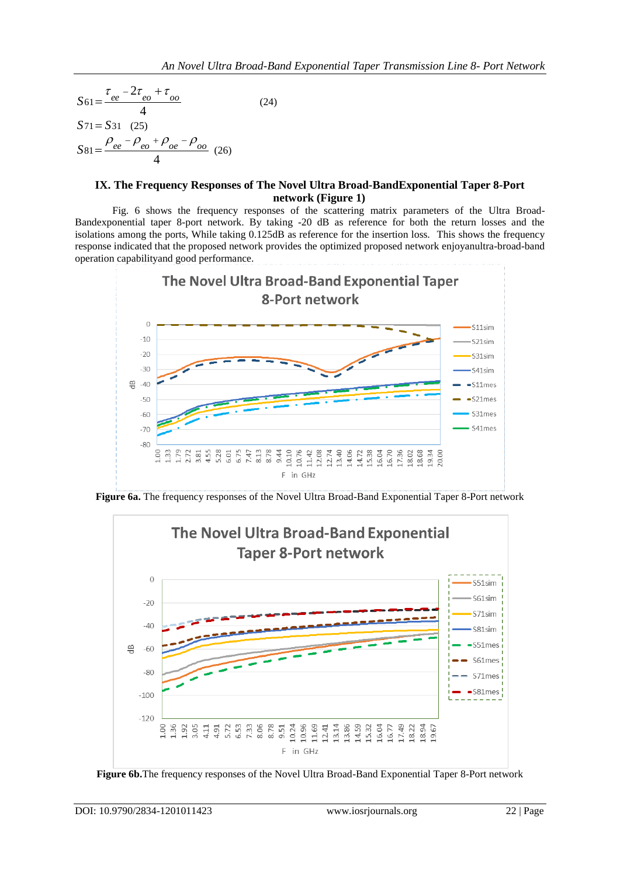$$
S61 = \frac{\tau_{ee} - 2\tau_{eo} + \tau_{oo}}{4}
$$
\n
$$
S71 = S31 \quad (25)
$$
\n
$$
S81 = \frac{\rho_{ee} - \rho_{eo} + \rho_{oe} - \rho_{oo}}{4} \quad (26)
$$

#### **IX. The Frequency Responses of The Novel Ultra Broad-BandExponential Taper 8-Port network (Figure 1)**

Fig. 6 shows the frequency responses of the scattering matrix parameters of the Ultra Broad-Bandexponential taper 8-port network. By taking -20 dB as reference for both the return losses and the isolations among the ports, While taking 0.125dB as reference for the insertion loss. This shows the frequency response indicated that the proposed network provides the optimized proposed network enjoyanultra-broad-band operation capabilityand good performance.



**Figure 6a.** The frequency responses of the Novel Ultra Broad-Band Exponential Taper 8-Port network



**Figure 6b.**The frequency responses of the Novel Ultra Broad-Band Exponential Taper 8-Port network